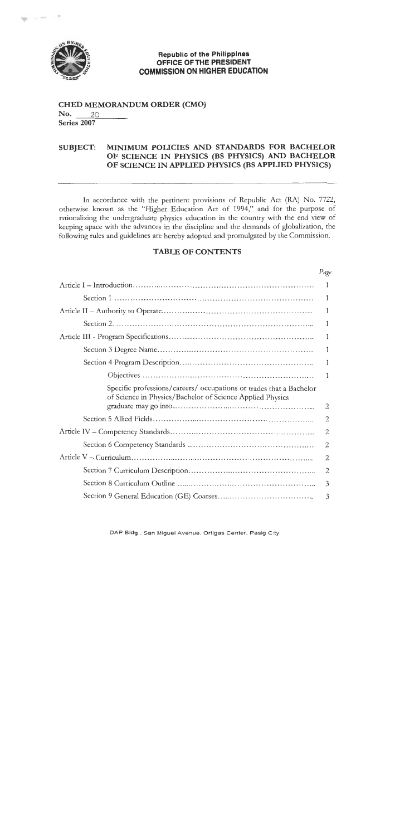

 $\sim$ 

#### **Republic of the Philippines** OFFICE OF THE PRESIDENT **COMMISSION ON HIGHER EDUCATION**

#### **CHED MEMORANDUM ORDER (CMO)** No. 20 Series 2007

#### **SUBJECT:** MINIMUM POLICIES AND STANDARDS FOR BACHELOR OF SCIENCE IN PHYSICS (BS PHYSICS) AND BACHELOR OF SCIENCE IN APPLIED PHYSICS (BS APPLIED PHYSICS)

In accordance with the pertinent provisions of Republic Act (RA) No. 7722, otherwise known as the "Higher Education Act of 1994," and for the purpose of rationalizing the undergraduate physics education in the country with the end view of keeping apace with the advances in the discipline and the demands of globalization, the following rules and guidelines are hereby adopted and promulgated by the Commission.

# **TABLE OF CONTENTS**

|                                                                                                                                  | Pag            |
|----------------------------------------------------------------------------------------------------------------------------------|----------------|
|                                                                                                                                  | 1              |
|                                                                                                                                  | 1              |
|                                                                                                                                  | 1              |
|                                                                                                                                  | 1              |
|                                                                                                                                  | 1              |
|                                                                                                                                  | 1              |
|                                                                                                                                  | 1              |
|                                                                                                                                  | 1              |
| Specific professions/careers/ occupations or trades that a Bachelor<br>of Science in Physics/Bachelor of Science Applied Physics | $\overline{2}$ |
|                                                                                                                                  | $\overline{2}$ |
|                                                                                                                                  | 2              |
|                                                                                                                                  | $\overline{2}$ |
|                                                                                                                                  | 2              |
|                                                                                                                                  | $\mathbf{2}$   |
|                                                                                                                                  | 3              |
|                                                                                                                                  | 3              |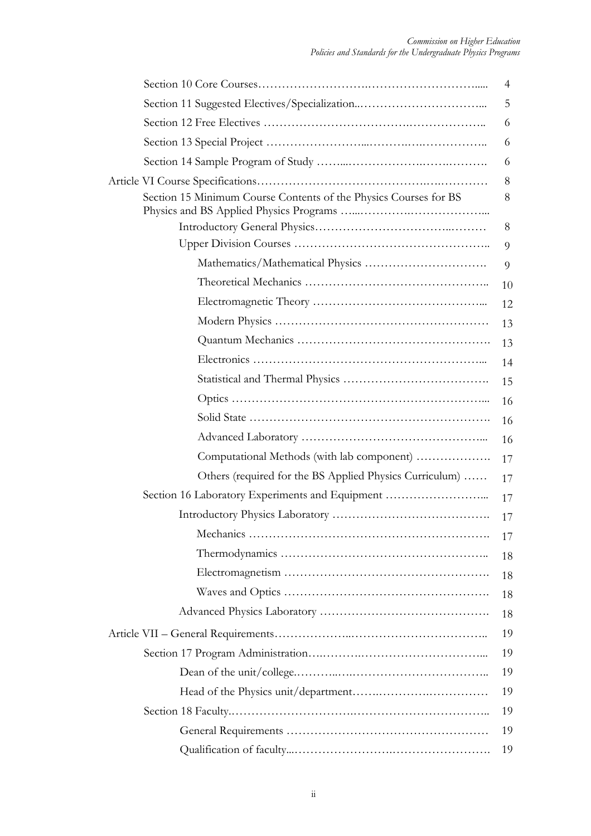|                                                                  | 4  |
|------------------------------------------------------------------|----|
|                                                                  | 5  |
|                                                                  | 6  |
|                                                                  | 6  |
|                                                                  | 6  |
|                                                                  | 8  |
| Section 15 Minimum Course Contents of the Physics Courses for BS | 8  |
|                                                                  | 8  |
|                                                                  | 9  |
|                                                                  | 9  |
|                                                                  | 10 |
|                                                                  | 12 |
|                                                                  | 13 |
|                                                                  | 13 |
|                                                                  | 14 |
|                                                                  | 15 |
|                                                                  | 16 |
|                                                                  | 16 |
|                                                                  | 16 |
| Computational Methods (with lab component)                       | 17 |
| Others (required for the BS Applied Physics Curriculum)          | 17 |
| Section 16 Laboratory Experiments and Equipment                  | 17 |
|                                                                  | 17 |
|                                                                  | 17 |
|                                                                  | 18 |
|                                                                  | 18 |
|                                                                  | 18 |
|                                                                  | 18 |
|                                                                  | 19 |
|                                                                  | 19 |
|                                                                  | 19 |
|                                                                  | 19 |
|                                                                  | 19 |
|                                                                  | 19 |
|                                                                  | 19 |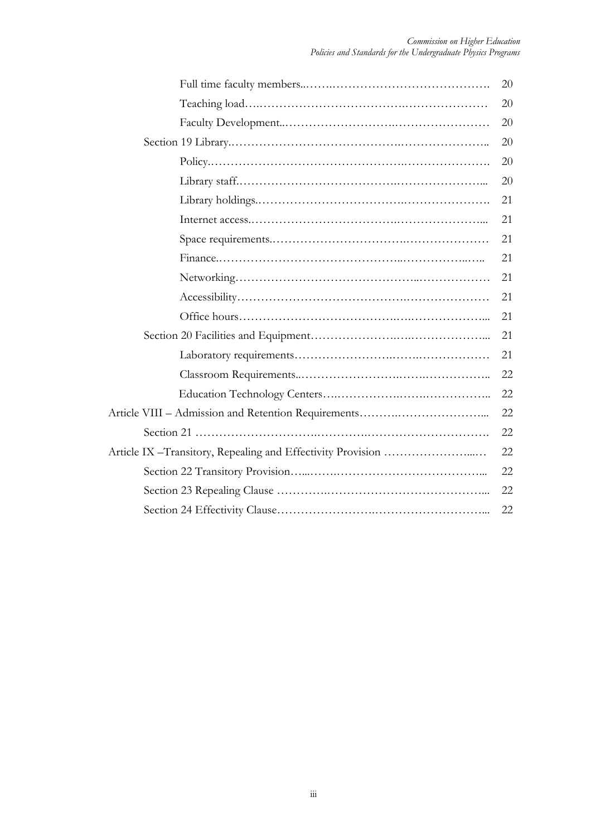| 20 |
|----|
| 20 |
| 20 |
| 20 |
| 20 |
| 20 |
| 21 |
| 21 |
| 21 |
| 21 |
| 21 |
| 21 |
| 21 |
| 21 |
| 21 |
| 22 |
| 22 |
| 22 |
| 22 |
| 22 |
| 22 |
| 22 |
| 22 |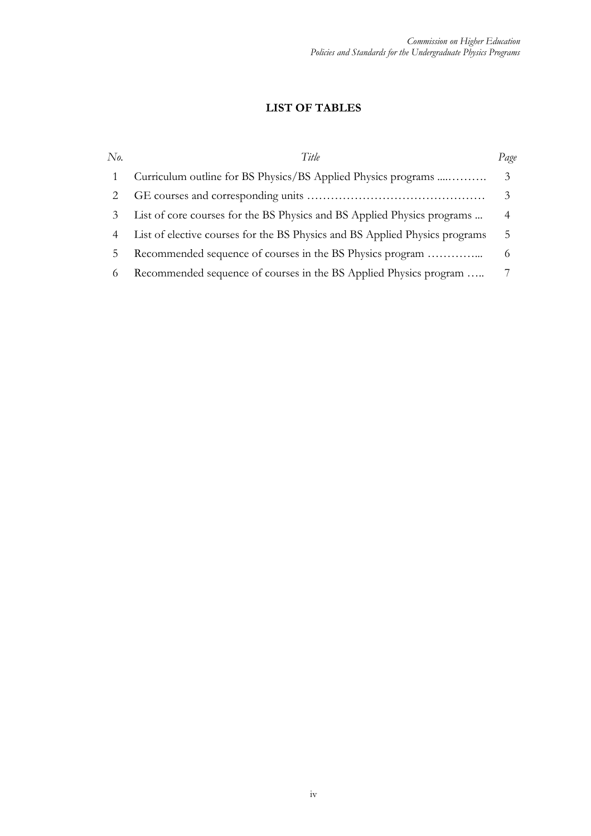# **LIST OF TABLES**

| No.      | Title                                                                       | Page |
|----------|-----------------------------------------------------------------------------|------|
|          | Curriculum outline for BS Physics/BS Applied Physics programs               |      |
|          |                                                                             |      |
|          | List of core courses for the BS Physics and BS Applied Physics programs     | 4    |
|          | List of elective courses for the BS Physics and BS Applied Physics programs | 5    |
| b.       | Recommended sequence of courses in the BS Physics program                   |      |
| $^{(1)}$ | Recommended sequence of courses in the BS Applied Physics program           |      |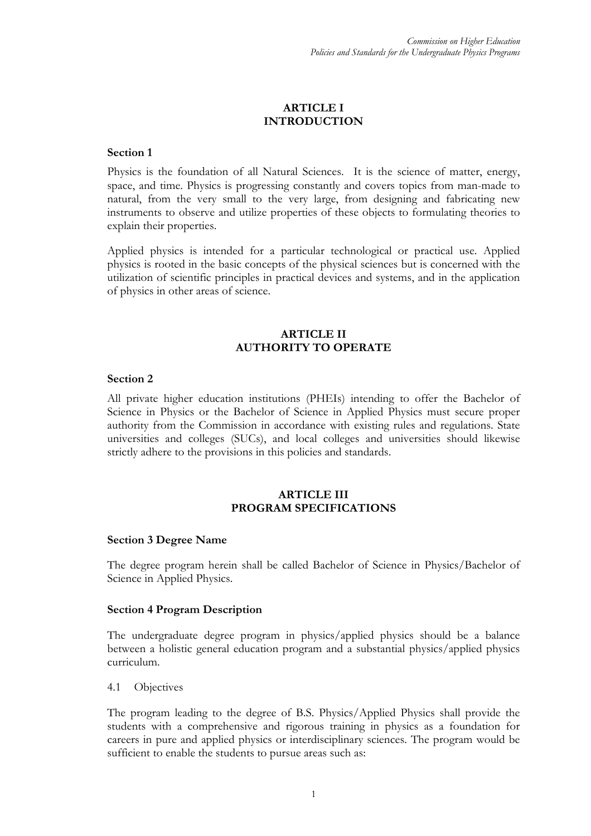# **ARTICLE I INTRODUCTION**

#### **Section 1**

Physics is the foundation of all Natural Sciences. It is the science of matter, energy, space, and time. Physics is progressing constantly and covers topics from man-made to natural, from the very small to the very large, from designing and fabricating new instruments to observe and utilize properties of these objects to formulating theories to explain their properties.

[Applied](http://www.answers.com/topic/applied-physics-1) physics is intended for a particular technological or practical use. Applied physics is rooted in the basic concepts of the physical sciences but is concerned with the utilization of scientific principles in practical devices and systems, and in the application of physics in other areas of science.

# **ARTICLE II AUTHORITY TO OPERATE**

#### **Section 2**

All private higher education institutions (PHEIs) intending to offer the Bachelor of Science in Physics or the Bachelor of Science in Applied Physics must secure proper authority from the Commission in accordance with existing rules and regulations. State universities and colleges (SUCs), and local colleges and universities should likewise strictly adhere to the provisions in this policies and standards.

#### **ARTICLE III PROGRAM SPECIFICATIONS**

#### **Section 3 Degree Name**

The degree program herein shall be called Bachelor of Science in Physics/Bachelor of Science in Applied Physics.

#### **Section 4 Program Description**

The undergraduate degree program in physics/applied physics should be a balance between a holistic general education program and a substantial physics/applied physics curriculum.

#### 4.1 Objectives

The program leading to the degree of B.S. Physics/Applied Physics shall provide the students with a comprehensive and rigorous training in physics as a foundation for careers in pure and applied physics or interdisciplinary sciences. The program would be sufficient to enable the students to pursue areas such as: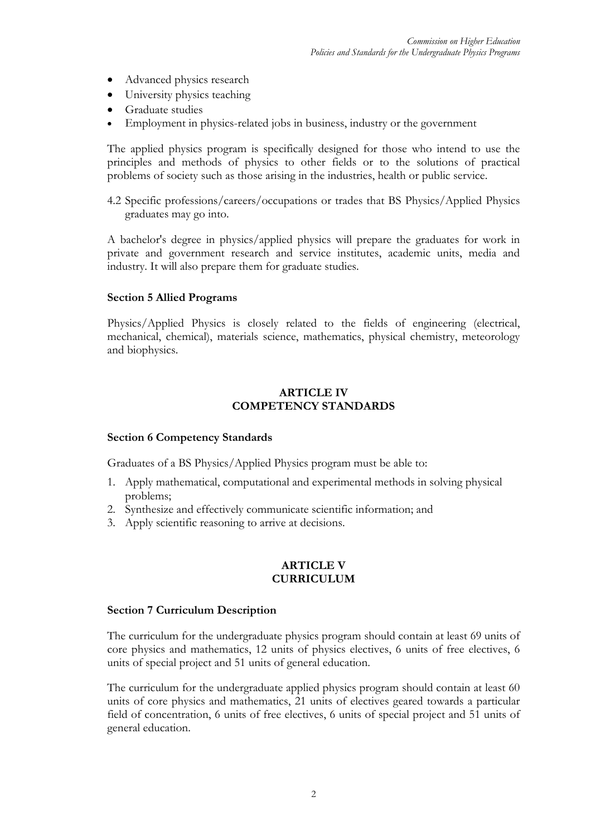- Advanced physics research
- University physics teaching
- Graduate studies
- Employment in physics-related jobs in business, industry or the government

The applied physics program is specifically designed for those who intend to use the principles and methods of physics to other fields or to the solutions of practical problems of society such as those arising in the industries, health or public service.

4.2 Specific professions/careers/occupations or trades that BS Physics/Applied Physics graduates may go into.

A bachelor's degree in physics/applied physics will prepare the graduates for work in private and government research and service institutes, academic units, media and industry. It will also prepare them for graduate studies.

#### **Section 5 Allied Programs**

Physics/Applied Physics is closely related to the fields of engineering (electrical, mechanical, chemical), materials science, mathematics, physical chemistry, meteorology and biophysics.

## **ARTICLE IV COMPETENCY STANDARDS**

#### **Section 6 Competency Standards**

Graduates of a BS Physics/Applied Physics program must be able to:

- 1. Apply mathematical, computational and experimental methods in solving physical problems;
- 2. Synthesize and effectively communicate scientific information; and
- 3. Apply scientific reasoning to arrive at decisions.

# **ARTICLE V CURRICULUM**

#### **Section 7 Curriculum Description**

The curriculum for the undergraduate physics program should contain at least 69 units of core physics and mathematics, 12 units of physics electives, 6 units of free electives, 6 units of special project and 51 units of general education.

The curriculum for the undergraduate applied physics program should contain at least 60 units of core physics and mathematics, 21 units of electives geared towards a particular field of concentration, 6 units of free electives, 6 units of special project and 51 units of general education.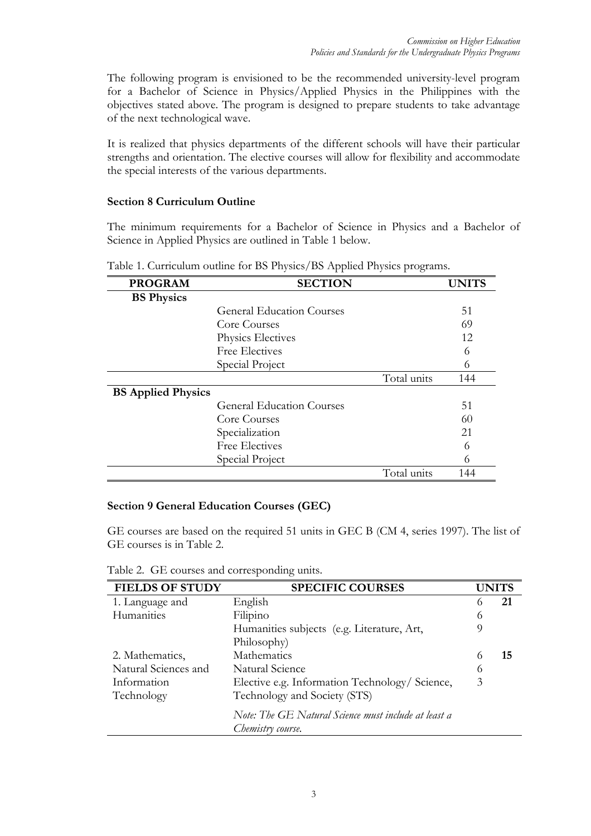The following program is envisioned to be the recommended university-level program for a Bachelor of Science in Physics/Applied Physics in the Philippines with the objectives stated above. The program is designed to prepare students to take advantage of the next technological wave.

It is realized that physics departments of the different schools will have their particular strengths and orientation. The elective courses will allow for flexibility and accommodate the special interests of the various departments.

### **Section 8 Curriculum Outline**

The minimum requirements for a Bachelor of Science in Physics and a Bachelor of Science in Applied Physics are outlined in Table 1 below.

| <b>PROGRAM</b>            | <b>SECTION</b>                   |             | <b>UNITS</b> |
|---------------------------|----------------------------------|-------------|--------------|
| <b>BS</b> Physics         |                                  |             |              |
|                           | <b>General Education Courses</b> |             | 51           |
|                           | Core Courses                     |             | 69           |
|                           | Physics Electives                |             | 12           |
|                           | <b>Free Electives</b>            |             | 6            |
|                           | Special Project                  |             | 6            |
|                           |                                  | Total units | 144          |
| <b>BS Applied Physics</b> |                                  |             |              |
|                           | <b>General Education Courses</b> |             | 51           |
|                           | Core Courses                     |             | 60           |
|                           | Specialization                   |             | 21           |
|                           | <b>Free Electives</b>            |             | 6            |
|                           | Special Project                  |             | 6            |
|                           |                                  | Total units | 144          |

Table 1. Curriculum outline for BS Physics/BS Applied Physics programs.

#### **Section 9 General Education Courses (GEC)**

GE courses are based on the required 51 units in GEC B (CM 4, series 1997). The list of GE courses is in Table 2.

|  | Table 2. GE courses and corresponding units. |  |  |  |
|--|----------------------------------------------|--|--|--|
|--|----------------------------------------------|--|--|--|

| <b>SPECIFIC COURSES</b>                              |                   | UNITS |
|------------------------------------------------------|-------------------|-------|
| English                                              | $\Omega$          | 21    |
| Filipino                                             | 6                 |       |
| Humanities subjects (e.g. Literature, Art,           |                   |       |
| Philosophy)                                          |                   |       |
| Mathematics                                          |                   | 15    |
| Natural Science                                      | 6                 |       |
| Elective e.g. Information Technology/Science,        | 3                 |       |
| Technology and Society (STS)                         |                   |       |
| Note: The GE Natural Science must include at least a |                   |       |
|                                                      | Chemistry course. |       |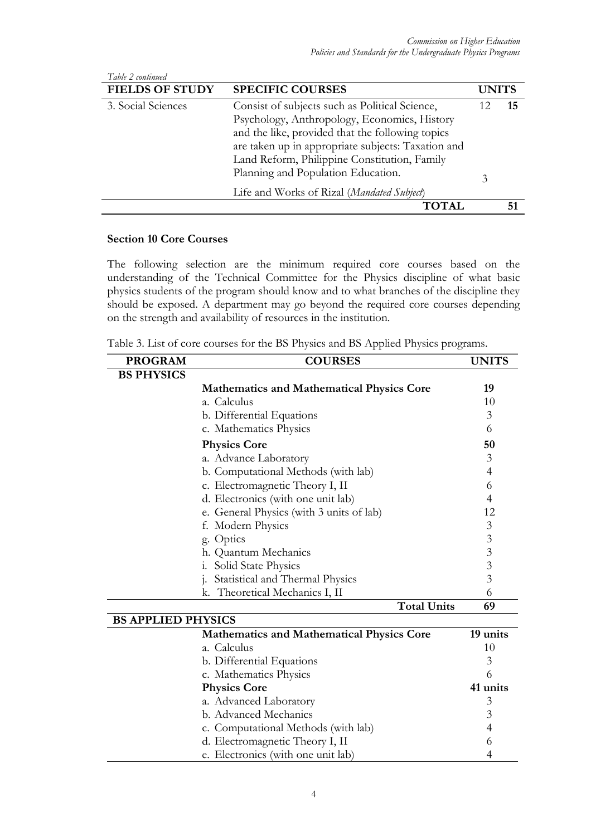| Table 2 continued      |                                                    |              |    |
|------------------------|----------------------------------------------------|--------------|----|
| <b>FIELDS OF STUDY</b> | <b>SPECIFIC COURSES</b>                            | <b>UNITS</b> |    |
| 3. Social Sciences     | Consist of subjects such as Political Science,     |              | 15 |
|                        | Psychology, Anthropology, Economics, History       |              |    |
|                        | and the like, provided that the following topics   |              |    |
|                        | are taken up in appropriate subjects: Taxation and |              |    |
|                        | Land Reform, Philippine Constitution, Family       |              |    |
|                        | Planning and Population Education.                 | 3            |    |
|                        | Life and Works of Rizal (Mandated Subject)         |              |    |
|                        | <b>TOTAL</b>                                       |              |    |

# **Section 10 Core Courses**

The following selection are the minimum required core courses based on the understanding of the Technical Committee for the Physics discipline of what basic physics students of the program should know and to what branches of the discipline they should be exposed. A department may go beyond the required core courses depending on the strength and availability of resources in the institution.

Table 3. List of core courses for the BS Physics and BS Applied Physics programs.

| <b>PROGRAM</b>    | <b>COURSES</b>                                   | <b>UNITS</b> |
|-------------------|--------------------------------------------------|--------------|
| <b>BS PHYSICS</b> |                                                  |              |
|                   | <b>Mathematics and Mathematical Physics Core</b> | 19           |
|                   | a. Calculus                                      | 10           |
|                   | b. Differential Equations                        | 3            |
|                   | c. Mathematics Physics                           | 6            |
|                   | <b>Physics Core</b>                              | 50           |
|                   | a. Advance Laboratory                            | 3            |
|                   | b. Computational Methods (with lab)              | 4            |
|                   | c. Electromagnetic Theory I, II                  | 6            |
|                   | d. Electronics (with one unit lab)               | 4            |
|                   | e. General Physics (with 3 units of lab)         | 12           |
|                   | f. Modern Physics                                | 3            |
|                   | g. Optics                                        | 3            |
|                   | h. Quantum Mechanics                             | 3            |
|                   | Solid State Physics<br>1.                        | 3            |
|                   | Statistical and Thermal Physics                  | 3            |
|                   | k. Theoretical Mechanics I, II                   | 6            |
|                   | <b>Total Units</b>                               | 69           |

| <b>BS APPLIED PHYSICS</b>                        |          |
|--------------------------------------------------|----------|
| <b>Mathematics and Mathematical Physics Core</b> | 19 units |
| a. Calculus                                      | 10       |
| b. Differential Equations                        | 3        |
| c. Mathematics Physics                           | 6        |
| <b>Physics Core</b>                              | 41 units |
| a. Advanced Laboratory                           | 3        |
| b. Advanced Mechanics                            | 3        |
| c. Computational Methods (with lab)              | 4        |
| d. Electromagnetic Theory I, II                  | 6        |
| e. Electronics (with one unit lab)               |          |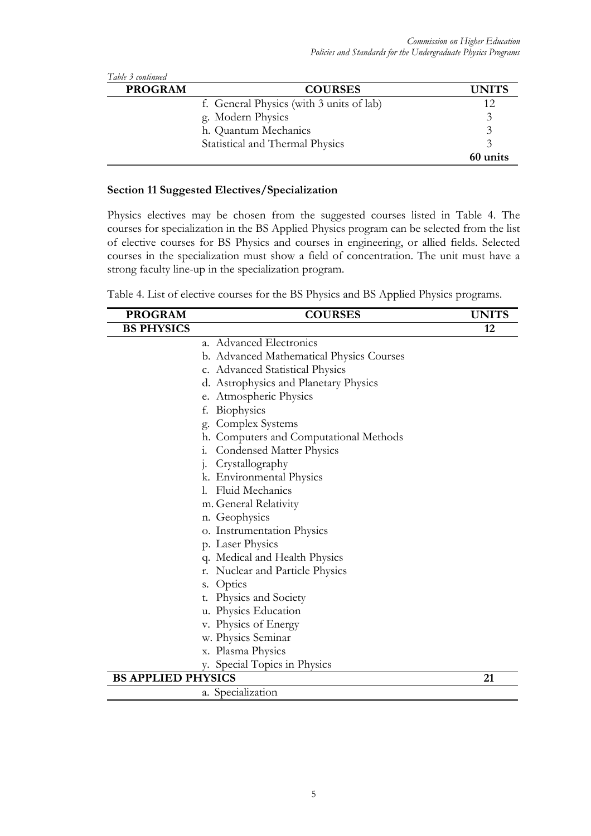| Table 3 continued |                                          |              |
|-------------------|------------------------------------------|--------------|
| <b>PROGRAM</b>    | <b>COURSES</b>                           | <b>UNITS</b> |
|                   | f. General Physics (with 3 units of lab) | 12           |
|                   | g. Modern Physics                        | 3            |
|                   | h. Quantum Mechanics                     |              |
|                   | Statistical and Thermal Physics          |              |
|                   |                                          | 60 units     |

## **Section 11 Suggested Electives/Specialization**

Physics electives may be chosen from the suggested courses listed in Table 4. The courses for specialization in the BS Applied Physics program can be selected from the list of elective courses for BS Physics and courses in engineering, or allied fields. Selected courses in the specialization must show a field of concentration. The unit must have a strong faculty line-up in the specialization program.

| Table 4. List of elective courses for the BS Physics and BS Applied Physics programs. |
|---------------------------------------------------------------------------------------|
|---------------------------------------------------------------------------------------|

| <b>PROGRAM</b>            | <b>COURSES</b><br><b>UNITS</b>            |    |  |  |  |  |
|---------------------------|-------------------------------------------|----|--|--|--|--|
| <b>BS PHYSICS</b>         |                                           | 12 |  |  |  |  |
|                           | a. Advanced Electronics                   |    |  |  |  |  |
|                           | b. Advanced Mathematical Physics Courses  |    |  |  |  |  |
|                           | c. Advanced Statistical Physics           |    |  |  |  |  |
|                           | d. Astrophysics and Planetary Physics     |    |  |  |  |  |
|                           | e. Atmospheric Physics                    |    |  |  |  |  |
|                           | Biophysics<br>f.                          |    |  |  |  |  |
|                           | Complex Systems<br>g.                     |    |  |  |  |  |
|                           | Computers and Computational Methods<br>h. |    |  |  |  |  |
|                           | Condensed Matter Physics<br>1.            |    |  |  |  |  |
|                           | Crystallography<br>1.                     |    |  |  |  |  |
|                           | k. Environmental Physics                  |    |  |  |  |  |
| Fluid Mechanics<br>1.     |                                           |    |  |  |  |  |
|                           | m. General Relativity                     |    |  |  |  |  |
|                           | n. Geophysics                             |    |  |  |  |  |
|                           | o. Instrumentation Physics                |    |  |  |  |  |
|                           | p. Laser Physics                          |    |  |  |  |  |
|                           | q. Medical and Health Physics             |    |  |  |  |  |
|                           | Nuclear and Particle Physics<br>r.        |    |  |  |  |  |
|                           | Optics<br>S.                              |    |  |  |  |  |
|                           | Physics and Society<br>t.                 |    |  |  |  |  |
|                           | u. Physics Education                      |    |  |  |  |  |
|                           | v. Physics of Energy                      |    |  |  |  |  |
|                           | w. Physics Seminar                        |    |  |  |  |  |
|                           | x. Plasma Physics                         |    |  |  |  |  |
|                           | Special Topics in Physics<br>V.           |    |  |  |  |  |
| <b>BS APPLIED PHYSICS</b> |                                           | 21 |  |  |  |  |
|                           | a. Specialization                         |    |  |  |  |  |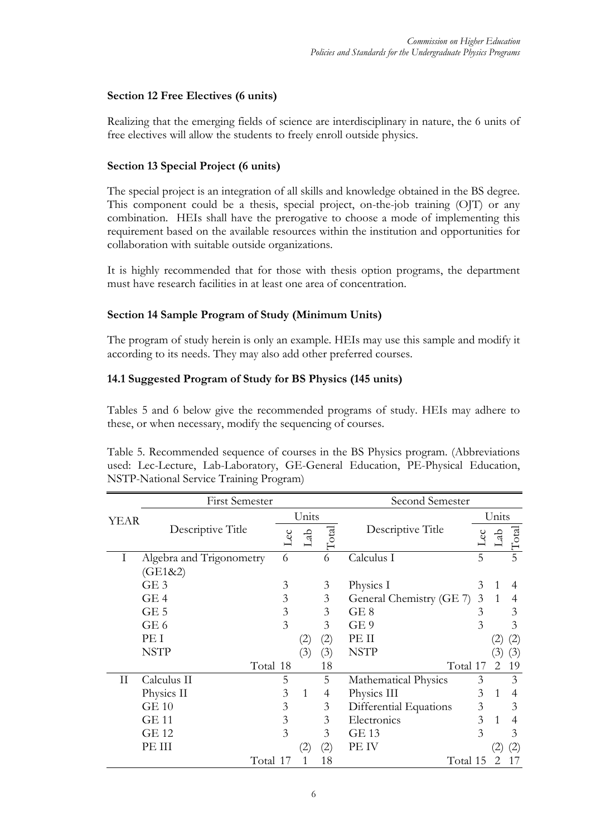# **Section 12 Free Electives (6 units)**

Realizing that the emerging fields of science are interdisciplinary in nature, the 6 units of free electives will allow the students to freely enroll outside physics.

# **Section 13 Special Project (6 units)**

The special project is an integration of all skills and knowledge obtained in the BS degree. This component could be a thesis, special project, on-the-job training (OJT) or any combination. HEIs shall have the prerogative to choose a mode of implementing this requirement based on the available resources within the institution and opportunities for collaboration with suitable outside organizations.

It is highly recommended that for those with thesis option programs, the department must have research facilities in at least one area of concentration.

# **Section 14 Sample Program of Study (Minimum Units)**

The program of study herein is only an example. HEIs may use this sample and modify it according to its needs. They may also add other preferred courses.

# **14.1 Suggested Program of Study for BS Physics (145 units)**

Tables 5 and 6 below give the recommended programs of study. HEIs may adhere to these, or when necessary, modify the sequencing of courses.

Table 5. Recommended sequence of courses in the BS Physics program. (Abbreviations used: Lec-Lecture, Lab-Laboratory, GE-General Education, PE-Physical Education, NSTP-National Service Training Program)

|              | <b>First Semester</b>    |          |     |                   |                   | Second Semester             |   |                |                   |  |
|--------------|--------------------------|----------|-----|-------------------|-------------------|-----------------------------|---|----------------|-------------------|--|
| <b>YEAR</b>  |                          |          |     | Units             |                   |                             |   | Units          |                   |  |
|              | Descriptive Title        |          | Lec | Lab               | $\Gamma$ otal     | Descriptive Title           |   | Lab            | $\rm Total$       |  |
| Ι            | Algebra and Trigonometry |          | 6   |                   | 6                 | Calculus I                  | 5 |                | 5                 |  |
|              | (GE1&2)                  |          |     |                   |                   |                             |   |                |                   |  |
|              | GE3                      |          | 3   |                   | 3                 | Physics I                   | 3 | 1              | 4                 |  |
|              | GE4                      |          | 3   |                   | 3                 | General Chemistry (GE 7)    | 3 | $\mathbf{1}$   | 4                 |  |
|              | $GE$ 5                   |          | 3   |                   | 3                 | GE 8                        | 3 |                | 3                 |  |
|              | GE 6                     |          | 3   |                   | 3                 | GE <sub>9</sub>             | 3 |                | 3                 |  |
|              | PE I                     |          |     | (2)               | $\left( 2\right)$ | PE II                       |   | (2)            | $\left( 2\right)$ |  |
|              | <b>NSTP</b>              |          |     | (3)               | (3)               | <b>NSTP</b>                 |   | (3)            | (3)               |  |
|              |                          | Total 18 |     |                   | 18                | Total 17                    |   | 2              | 19                |  |
| $\mathbf{I}$ | Calculus II              |          | 5   |                   | 5                 | <b>Mathematical Physics</b> | 3 |                | 3                 |  |
|              | Physics II               |          | 3   | 1                 | 4                 | Physics III                 | 3 | 1              | $\overline{4}$    |  |
|              | GE10                     |          | 3   |                   | 3                 | Differential Equations      | 3 |                | 3                 |  |
|              | <b>GE 11</b>             |          | 3   |                   | 3                 | Electronics                 | 3 | 1              | 4                 |  |
|              | GE 12                    |          | 3   |                   | 3                 | GE 13                       | 3 |                | 3                 |  |
|              | PE III                   |          |     | $\left( 2\right)$ | (2)               | PE IV                       |   | (2)            | $\left( 2\right)$ |  |
|              |                          | Total 17 |     |                   | 18                | Total 15                    |   | $\mathfrak{D}$ |                   |  |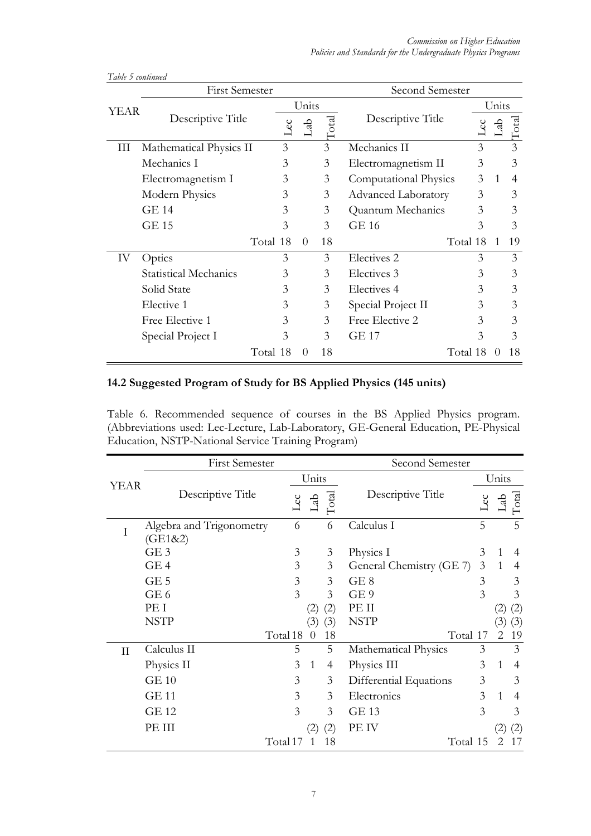|             | <b>First Semester</b>        |          |          |       | Second Semester            |          |                |               |
|-------------|------------------------------|----------|----------|-------|----------------------------|----------|----------------|---------------|
| <b>YEAR</b> |                              |          | Units    |       |                            | Units    |                |               |
|             | Descriptive Title            | Lec      | Lab      | Total | Descriptive Title          | PC       | ति             | $\Gamma$ otal |
| Ш           | Mathematical Physics II      | 3        |          | 3     | Mechanics II               | 3        |                | 3             |
|             | Mechanics I                  | 3        |          | 3     | Electromagnetism II        | 3        |                | 3             |
|             | Electromagnetism I           | 3        |          | 3     | Computational Physics      | 3        | 1              | 4             |
|             | Modern Physics               | 3        |          | 3     | <b>Advanced Laboratory</b> | 3        |                | 3             |
|             | <b>GE 14</b>                 | 3        |          | 3     | Quantum Mechanics          | 3        |                | 3             |
|             | <b>GE 15</b>                 | 3        |          | 3     | GE 16                      | 3        |                | 3             |
|             |                              | Total 18 | $\Omega$ | 18    |                            | Total 18 | $\overline{1}$ | 19            |
| IV          | Optics                       | 3        |          | 3     | Electives <sub>2</sub>     | 3        |                | 3             |
|             | <b>Statistical Mechanics</b> | 3        |          | 3     | Electives 3                | 3        |                | 3             |
|             | Solid State                  | 3        |          | 3     | Electives 4                | 3        |                | 3             |
|             | Elective 1                   | 3        |          | 3     | Special Project II         | 3        |                | 3             |
|             | Free Elective 1              | 3        |          | 3     | Free Elective 2            | 3        |                | 3             |
|             | Special Project I            | 3        |          | 3     | <b>GE 17</b>               | 3        |                | 3             |
|             |                              | Total 18 | $\Omega$ | 18    |                            | Total 18 | $\theta$       | 18            |

*Table 5 continued* 

# **14.2 Suggested Program of Study for BS Applied Physics (145 units)**

Table 6. Recommended sequence of courses in the BS Applied Physics program. (Abbreviations used: Lec-Lecture, Lab-Laboratory, GE-General Education, PE-Physical Education, NSTP-National Service Training Program)

|             | <b>First Semester</b>               | Second Semester |                   |                |                             |     |              |                   |  |
|-------------|-------------------------------------|-----------------|-------------------|----------------|-----------------------------|-----|--------------|-------------------|--|
| <b>YEAR</b> |                                     |                 | Units             |                |                             |     | Units        |                   |  |
|             | Descriptive Title                   |                 | La                | $\rm Total$    | Descriptive Title           | Lec | Lab          | $\rm Total$       |  |
| Ι           | Algebra and Trigonometry<br>(GE1&2) | 6               |                   | 6              | Calculus I                  | 5   |              | 5                 |  |
|             | GE3                                 | 3               |                   | 3              | Physics I                   | 3   | 1            | 4                 |  |
|             | GE4                                 | 3               |                   | 3              | General Chemistry (GE 7)    | 3   | $\mathbf{1}$ | $\overline{4}$    |  |
|             | $GE$ 5                              | 3               |                   | 3              | GE <sub>8</sub>             | 3   |              | 3                 |  |
|             | GE <sub>6</sub>                     | 3               |                   | 3              | GE <sub>9</sub>             | 3   |              | 3                 |  |
|             | PE I                                |                 | $\left( 2\right)$ | (2)            | PE II                       |     | (2)          | (2)               |  |
|             | <b>NSTP</b>                         |                 | (3)               | (3)            | <b>NSTP</b>                 |     | 3            | (3)               |  |
|             |                                     | Total 18        | $\overline{0}$    | 18             | Total 17                    |     | 2            | 19                |  |
| $\rm II$    | Calculus II                         | 5               |                   | 5              | <b>Mathematical Physics</b> | 3   |              | 3                 |  |
|             | Physics II                          | 3               | 1                 | $\overline{4}$ | Physics III                 | 3   | $\mathbf{1}$ | 4                 |  |
|             | <b>GE 10</b>                        | 3               |                   | 3              | Differential Equations      | 3   |              | 3                 |  |
|             | <b>GE 11</b>                        | 3               |                   | 3              | Electronics                 | 3   | $\mathbf{1}$ | 4                 |  |
|             | <b>GE 12</b>                        | 3               |                   | 3              | <b>GE 13</b>                | 3   |              | 3                 |  |
|             | PE III                              |                 | (2)               | (2)            | PE IV                       |     |              | $\left( 2\right)$ |  |
|             |                                     | Total 17        | 1                 | 18             | Total 15                    |     | 2            |                   |  |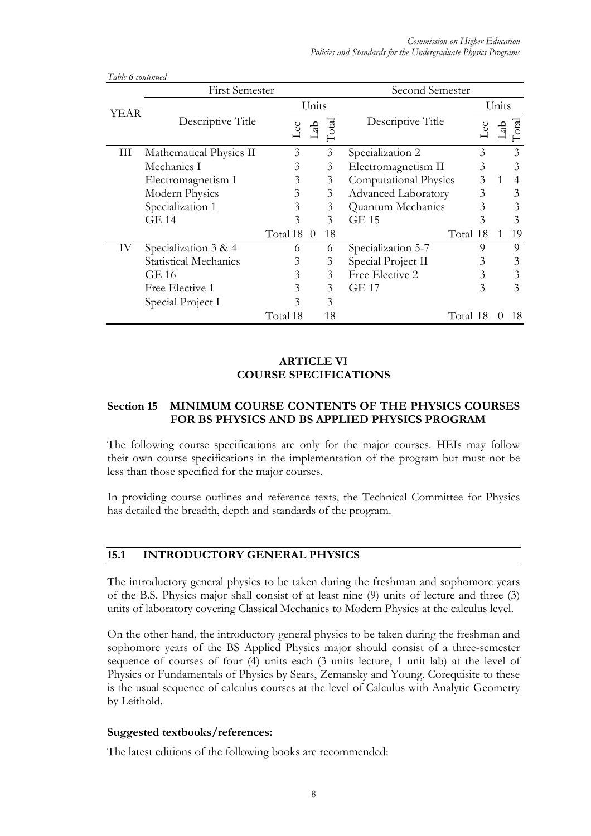|      | <b>First Semester</b>        | Second Semester |          |               |                              |          |       |              |           |
|------|------------------------------|-----------------|----------|---------------|------------------------------|----------|-------|--------------|-----------|
|      |                              | Units           |          |               |                              |          | Units |              |           |
| YEAR | Descriptive Title            | Lec             | Lab      | $\Gamma$ otal | Descriptive Title            |          | Lec   | ಕ್ಕ          | r<br>otal |
| Ш    | Mathematical Physics II      | 3               |          | 3             | Specialization 2             |          | 3     |              | 3         |
|      | Mechanics I                  | 3               |          | 3             | Electromagnetism II          |          | 3     |              | 3         |
|      | Electromagnetism I           | 3               |          | 3             | <b>Computational Physics</b> |          | 3     | $\mathbf{1}$ | 4         |
|      | Modern Physics               | 3               |          | 3             | <b>Advanced Laboratory</b>   |          | 3     |              | 3         |
|      | Specialization 1             | 3               |          | 3             | Quantum Mechanics            |          | 3     |              | 3         |
|      | <b>GE 14</b>                 | 3               |          | 3             | <b>GE 15</b>                 |          | 3     |              | 3         |
|      |                              | Total 18        | $\theta$ | 18            |                              | Total 18 |       | 1            | 19        |
| IV   | Specialization 3 & 4         | 6               |          | 6             | Specialization 5-7           |          | 9     |              | 9         |
|      | <b>Statistical Mechanics</b> | 3               |          | 3             | Special Project II           |          | 3     |              | 3         |
|      | GE 16                        | 3               |          | 3             | Free Elective 2              |          | 3     |              | 3         |
|      | Free Elective 1              | 3               |          | 3             | <b>GE 17</b>                 |          | 3     |              | 3         |
|      | Special Project I            | 3               |          | 3             |                              |          |       |              |           |
|      |                              | Total 18        |          | 18            |                              | Total 18 |       | $\theta$     | 18        |

*Table 6 continued* 

## **ARTICLE VI COURSE SPECIFICATIONS**

# **Section 15 MINIMUM COURSE CONTENTS OF THE PHYSICS COURSES FOR BS PHYSICS AND BS APPLIED PHYSICS PROGRAM**

The following course specifications are only for the major courses. HEIs may follow their own course specifications in the implementation of the program but must not be less than those specified for the major courses.

In providing course outlines and reference texts, the Technical Committee for Physics has detailed the breadth, depth and standards of the program.

# **15.1 INTRODUCTORY GENERAL PHYSICS**

The introductory general physics to be taken during the freshman and sophomore years of the B.S. Physics major shall consist of at least nine (9) units of lecture and three (3) units of laboratory covering Classical Mechanics to Modern Physics at the calculus level.

On the other hand, the introductory general physics to be taken during the freshman and sophomore years of the BS Applied Physics major should consist of a three-semester sequence of courses of four (4) units each (3 units lecture, 1 unit lab) at the level of Physics or Fundamentals of Physics by Sears, Zemansky and Young. Corequisite to these is the usual sequence of calculus courses at the level of Calculus with Analytic Geometry by Leithold.

#### **Suggested textbooks/references:**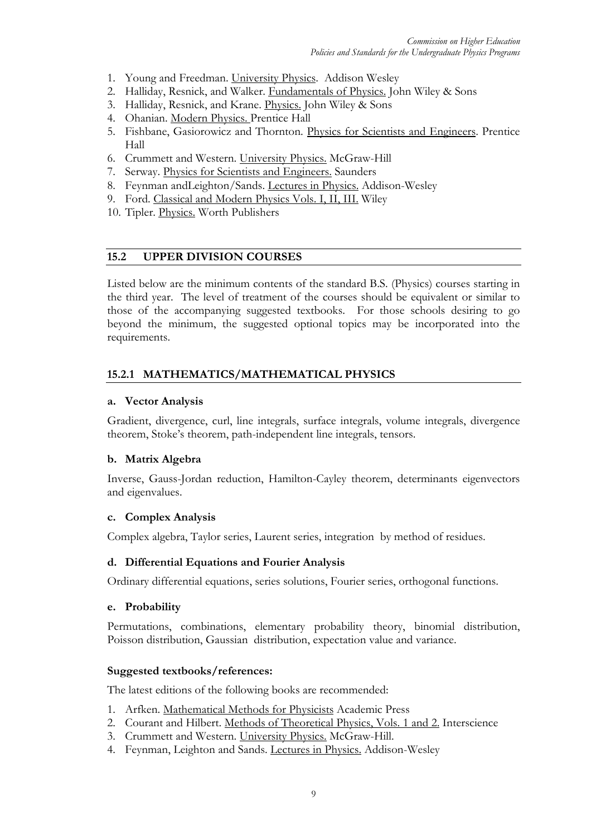- 1. Young and Freedman. University Physics. Addison Wesley
- 2. Halliday, Resnick, and Walker. Fundamentals of Physics. John Wiley & Sons
- 3. Halliday, Resnick, and Krane. Physics. John Wiley & Sons
- 4. Ohanian. Modern Physics. Prentice Hall
- 5. Fishbane, Gasiorowicz and Thornton. Physics for Scientists and Engineers. Prentice Hall
- 6. Crummett and Western. University Physics. McGraw-Hill
- 7. Serway. Physics for Scientists and Engineers. Saunders
- 8. Feynman andLeighton/Sands. Lectures in Physics. Addison-Wesley
- 9. Ford. Classical and Modern Physics Vols. I, II, III. Wiley
- 10. Tipler. Physics. Worth Publishers

# **15.2 UPPER DIVISION COURSES**

Listed below are the minimum contents of the standard B.S. (Physics) courses starting in the third year. The level of treatment of the courses should be equivalent or similar to those of the accompanying suggested textbooks. For those schools desiring to go beyond the minimum, the suggested optional topics may be incorporated into the requirements.

# **15.2.1 MATHEMATICS/MATHEMATICAL PHYSICS**

#### **a. Vector Analysis**

Gradient, divergence, curl, line integrals, surface integrals, volume integrals, divergence theorem, Stoke's theorem, path-independent line integrals, tensors.

#### **b. Matrix Algebra**

Inverse, Gauss-Jordan reduction, Hamilton-Cayley theorem, determinants eigenvectors and eigenvalues.

#### **c. Complex Analysis**

Complex algebra, Taylor series, Laurent series, integration by method of residues.

#### **d. Differential Equations and Fourier Analysis**

Ordinary differential equations, series solutions, Fourier series, orthogonal functions.

#### **e. Probability**

Permutations, combinations, elementary probability theory, binomial distribution, Poisson distribution, Gaussian distribution, expectation value and variance.

#### **Suggested textbooks/references:**

- 1. Arfken. Mathematical Methods for Physicists Academic Press
- 2. Courant and Hilbert. Methods of Theoretical Physics, Vols. 1 and 2. Interscience
- 3. Crummett and Western. University Physics. McGraw-Hill.
- 4. Feynman, Leighton and Sands. Lectures in Physics. Addison-Wesley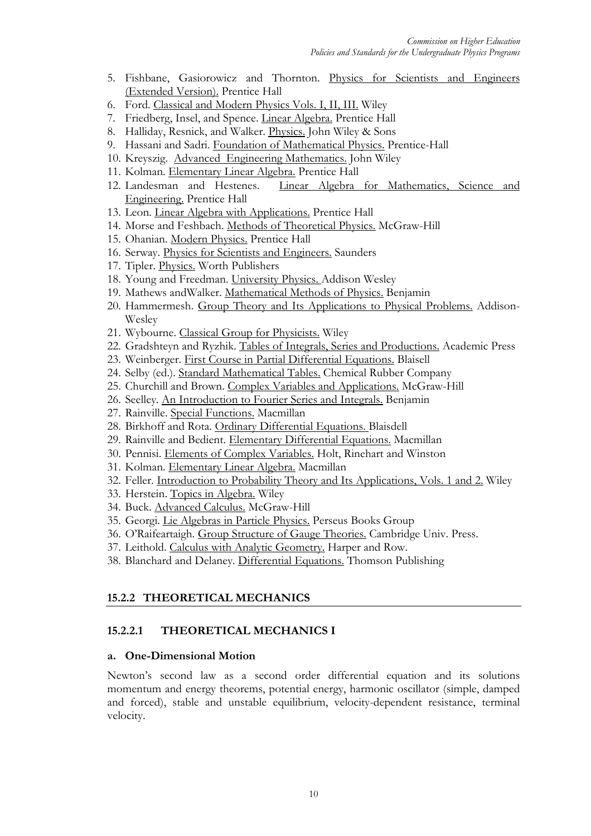- 5. Fishbane, Gasiorowicz and Thornton. Physics for Scientists and Engineers (Extended Version). Prentice Hall
- 6. Ford. Classical and Modern Physics Vols. I, II, III. Wiley
- 7. Friedberg, Insel, and Spence. Linear Algebra. Prentice Hall
- 8. Halliday, Resnick, and Walker. Physics. John Wiley & Sons
- 9. Hassani and Sadri. Foundation of Mathematical Physics. Prentice-Hall
- 10. Kreyszig. Advanced Engineering Mathematics. John Wiley
- 11. Kolman. Elementary Linear Algebra. Prentice Hall
- 12. Landesman and Hestenes. Linear Algebra for Mathematics, Science and Engineering. Prentice Hall
- 13. Leon. Linear Algebra with Applications. Prentice Hall
- 14. Morse and Feshbach. Methods of Theoretical Physics. McGraw-Hill
- 15. Ohanian. Modern Physics. Prentice Hall
- 16. Serway. Physics for Scientists and Engineers. Saunders
- 17. Tipler. Physics. Worth Publishers
- 18. Young and Freedman. University Physics. Addison Wesley
- 19. Mathews andWalker. Mathematical Methods of Physics. Benjamin
- 20. Hammermesh. Group Theory and Its Applications to Physical Problems. Addison-Wesley
- 21. Wybourne. Classical Group for Physicists. Wiley
- 22. Gradshteyn and Ryzhik. Tables of Integrals, Series and Productions. Academic Press
- 23. Weinberger. First Course in Partial Differential Equations. Blaisell
- 24. Selby (ed.). Standard Mathematical Tables. Chemical Rubber Company
- 25. Churchill and Brown. Complex Variables and Applications. McGraw-Hill
- 26. Seelley. An Introduction to Fourier Series and Integrals. Benjamin
- 27. Rainville. Special Functions. Macmillan
- 28. Birkhoff and Rota. Ordinary Differential Equations. Blaisdell
- 29. Rainville and Bedient. Elementary Differential Equations. Macmillan
- 30. Pennisi. Elements of Complex Variables. Holt, Rinehart and Winston
- 31. Kolman. Elementary Linear Algebra. Macmillan
- 32. Feller. Introduction to Probability Theory and Its Applications, Vols. 1 and 2. Wiley
- 33. Herstein. Topics in Algebra. Wiley
- 34. Buck. Advanced Calculus. McGraw-Hill
- 35. Georgi. Lie Algebras in Particle Physics. Perseus Books Group
- 36. O'Raifeartaigh. Group Structure of Gauge Theories. Cambridge Univ. Press.
- 37. Leithold. Calculus with Analytic Geometry. Harper and Row.
- 38. Blanchard and Delaney. Differential Equations. Thomson Publishing

# **15.2.2 THEORETICAL MECHANICS**

# **15.2.2.1 THEORETICAL MECHANICS I**

#### **a. One-Dimensional Motion**

Newton's second law as a second order differential equation and its solutions momentum and energy theorems, potential energy, harmonic oscillator (simple, damped and forced), stable and unstable equilibrium, velocity-dependent resistance, terminal velocity.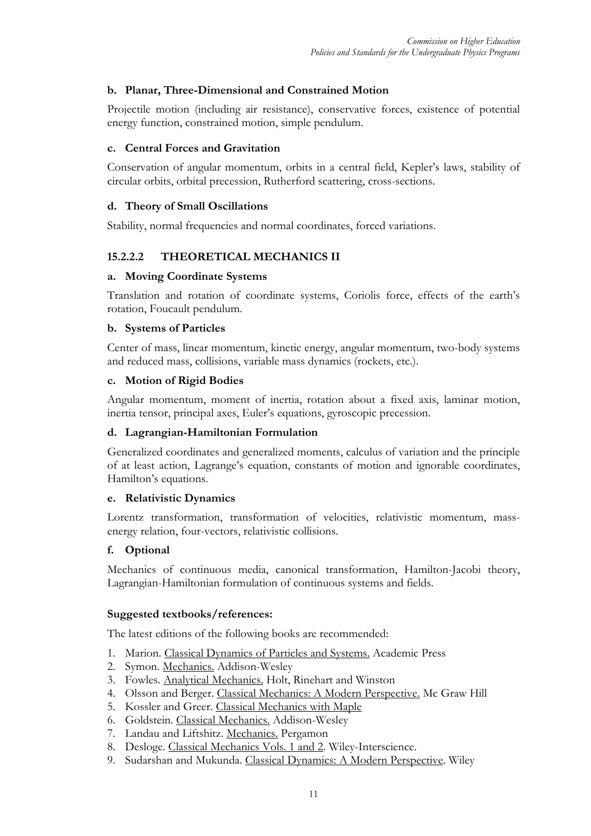# **b. Planar, Three-Dimensional and Constrained Motion**

Projectile motion (including air resistance), conservative forces, existence of potential energy function, constrained motion, simple pendulum.

#### **c. Central Forces and Gravitation**

Conservation of angular momentum, orbits in a central field, Kepler's laws, stability of circular orbits, orbital precession, Rutherford scattering, cross-sections.

#### **d. Theory of Small Oscillations**

Stability, normal frequencies and normal coordinates, forced variations.

# **15.2.2.2 THEORETICAL MECHANICS II**

#### **a. Moving Coordinate Systems**

Translation and rotation of coordinate systems, Coriolis force, effects of the earth's rotation, Foucault pendulum.

#### **b. Systems of Particles**

Center of mass, linear momentum, kinetic energy, angular momentum, two-body systems and reduced mass, collisions, variable mass dynamics (rockets, etc.).

#### **c. Motion of Rigid Bodies**

Angular momentum, moment of inertia, rotation about a fixed axis, laminar motion, inertia tensor, principal axes, Euler's equations, gyroscopic precession.

#### **d. Lagrangian-Hamiltonian Formulation**

Generalized coordinates and generalized moments, calculus of variation and the principle of at least action, Lagrange's equation, constants of motion and ignorable coordinates, Hamilton's equations.

#### **e. Relativistic Dynamics**

Lorentz transformation, transformation of velocities, relativistic momentum, massenergy relation, four-vectors, relativistic collisions.

#### **f. Optional**

Mechanics of continuous media, canonical transformation, Hamilton-Jacobi theory, Lagrangian-Hamiltonian formulation of continuous systems and fields.

#### **Suggested textbooks/references:**

- 1. Marion. Classical Dynamics of Particles and Systems. Academic Press
- 2. Symon. Mechanics. Addison-Wesley
- 3. Fowles. Analytical Mechanics. Holt, Rinehart and Winston
- 4. Olsson and Berger. Classical Mechanics: A Modern Perspective. Mc Graw Hill
- 5. Kossler and Greer. Classical Mechanics with Maple
- 6. Goldstein. Classical Mechanics. Addison-Wesley
- 7. Landau and Liftshitz. Mechanics. Pergamon
- 8. Desloge. Classical Mechanics Vols. 1 and 2. Wiley-Interscience.
- 9. Sudarshan and Mukunda. Classical Dynamics: A Modern Perspective. Wiley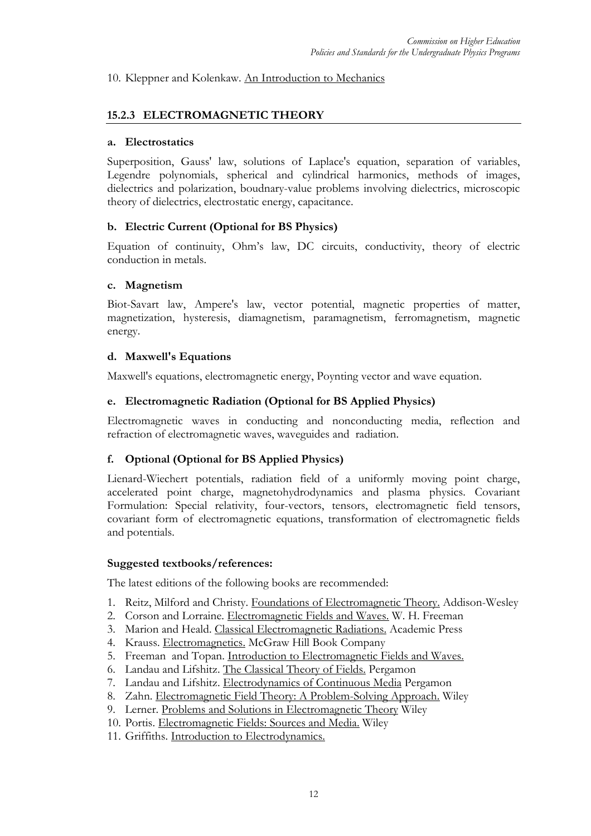## 10. Kleppner and Kolenkaw. An Introduction to Mechanics

# **15.2.3 ELECTROMAGNETIC THEORY**

#### **a. Electrostatics**

Superposition, Gauss' law, solutions of Laplace's equation, separation of variables, Legendre polynomials, spherical and cylindrical harmonics, methods of images, dielectrics and polarization, boudnary-value problems involving dielectrics, microscopic theory of dielectrics, electrostatic energy, capacitance.

#### **b. Electric Current (Optional for BS Physics)**

Equation of continuity, Ohm's law, DC circuits, conductivity, theory of electric conduction in metals.

#### **c. Magnetism**

Biot-Savart law, Ampere's law, vector potential, magnetic properties of matter, magnetization, hysteresis, diamagnetism, paramagnetism, ferromagnetism, magnetic energy.

#### **d. Maxwell's Equations**

Maxwell's equations, electromagnetic energy, Poynting vector and wave equation.

#### **e. Electromagnetic Radiation (Optional for BS Applied Physics)**

Electromagnetic waves in conducting and nonconducting media, reflection and refraction of electromagnetic waves, waveguides and radiation.

#### **f. Optional (Optional for BS Applied Physics)**

Lienard-Wiechert potentials, radiation field of a uniformly moving point charge, accelerated point charge, magnetohydrodynamics and plasma physics. Covariant Formulation: Special relativity, four-vectors, tensors, electromagnetic field tensors, covariant form of electromagnetic equations, transformation of electromagnetic fields and potentials.

#### **Suggested textbooks/references:**

- 1. Reitz, Milford and Christy. Foundations of Electromagnetic Theory. Addison-Wesley
- 2. Corson and Lorraine. Electromagnetic Fields and Waves. W. H. Freeman
- 3. Marion and Heald. Classical Electromagnetic Radiations. Academic Press
- 4. Krauss. Electromagnetics. McGraw Hill Book Company
- 5. Freeman and Topan. Introduction to Electromagnetic Fields and Waves.
- 6. Landau and Lifshitz. The Classical Theory of Fields. Pergamon
- 7. Landau and Lifshitz. Electrodynamics of Continuous Media Pergamon
- 8. Zahn. Electromagnetic Field Theory: A Problem-Solving Approach. Wiley
- 9. Lerner. Problems and Solutions in Electromagnetic Theory Wiley
- 10. Portis. Electromagnetic Fields: Sources and Media. Wiley
- 11. Griffiths. Introduction to Electrodynamics.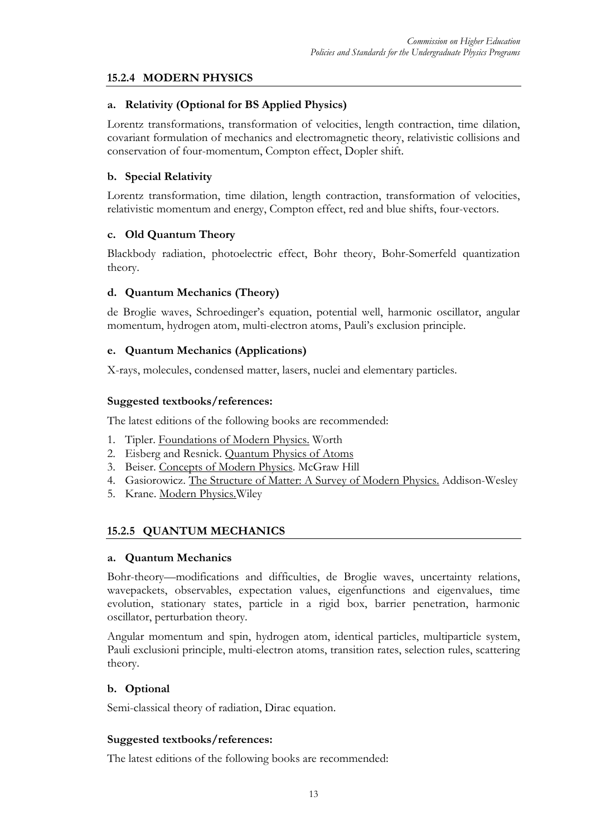# **15.2.4 MODERN PHYSICS**

## **a. Relativity (Optional for BS Applied Physics)**

Lorentz transformations, transformation of velocities, length contraction, time dilation, covariant formulation of mechanics and electromagnetic theory, relativistic collisions and conservation of four-momentum, Compton effect, Dopler shift.

## **b. Special Relativity**

Lorentz transformation, time dilation, length contraction, transformation of velocities, relativistic momentum and energy, Compton effect, red and blue shifts, four-vectors.

# **c. Old Quantum Theory**

Blackbody radiation, photoelectric effect, Bohr theory, Bohr-Somerfeld quantization theory.

# **d. Quantum Mechanics (Theory)**

de Broglie waves, Schroedinger's equation, potential well, harmonic oscillator, angular momentum, hydrogen atom, multi-electron atoms, Pauli's exclusion principle.

# **e. Quantum Mechanics (Applications)**

X-rays, molecules, condensed matter, lasers, nuclei and elementary particles.

#### **Suggested textbooks/references:**

The latest editions of the following books are recommended:

- 1. Tipler. Foundations of Modern Physics. Worth
- 2. Eisberg and Resnick. Quantum Physics of Atoms
- 3. Beiser. Concepts of Modern Physics. McGraw Hill
- 4. Gasiorowicz. The Structure of Matter: A Survey of Modern Physics. Addison-Wesley
- 5. Krane. Modern Physics.Wiley

# **15.2.5 QUANTUM MECHANICS**

#### **a. Quantum Mechanics**

Bohr-theory—modifications and difficulties, de Broglie waves, uncertainty relations, wavepackets, observables, expectation values, eigenfunctions and eigenvalues, time evolution, stationary states, particle in a rigid box, barrier penetration, harmonic oscillator, perturbation theory.

Angular momentum and spin, hydrogen atom, identical particles, multiparticle system, Pauli exclusioni principle, multi-electron atoms, transition rates, selection rules, scattering theory.

#### **b. Optional**

Semi-classical theory of radiation, Dirac equation.

#### **Suggested textbooks/references:**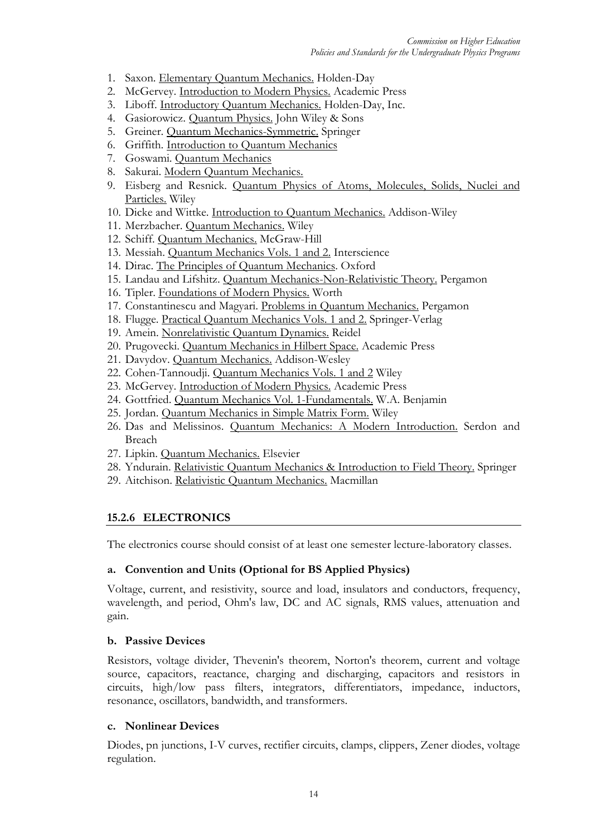- 1. Saxon. Elementary Quantum Mechanics. Holden-Day
- 2. McGervey. Introduction to Modern Physics. Academic Press
- 3. Liboff. Introductory Quantum Mechanics. Holden-Day, Inc.
- 4. Gasiorowicz. Quantum Physics. John Wiley & Sons
- 5. Greiner. Quantum Mechanics-Symmetric. Springer
- 6. Griffith. Introduction to Quantum Mechanics
- 7. Goswami. Quantum Mechanics
- 8. Sakurai. Modern Quantum Mechanics.
- 9. Eisberg and Resnick. Quantum Physics of Atoms, Molecules, Solids, Nuclei and Particles. Wiley
- 10. Dicke and Wittke. Introduction to Quantum Mechanics. Addison-Wiley
- 11. Merzbacher. Quantum Mechanics. Wiley
- 12. Schiff. Quantum Mechanics. McGraw-Hill
- 13. Messiah. Quantum Mechanics Vols. 1 and 2. Interscience
- 14. Dirac. The Principles of Quantum Mechanics. Oxford
- 15. Landau and Lifshitz. Quantum Mechanics-Non-Relativistic Theory. Pergamon
- 16. Tipler. Foundations of Modern Physics. Worth
- 17. Constantinescu and Magyari. Problems in Quantum Mechanics. Pergamon
- 18. Flugge. Practical Quantum Mechanics Vols. 1 and 2. Springer-Verlag
- 19. Amein. Nonrelativistic Quantum Dynamics. Reidel
- 20. Prugovecki. Quantum Mechanics in Hilbert Space. Academic Press
- 21. Davydov. Quantum Mechanics. Addison-Wesley
- 22. Cohen-Tannoudji. Quantum Mechanics Vols. 1 and 2 Wiley
- 23. McGervey. Introduction of Modern Physics. Academic Press
- 24. Gottfried. Quantum Mechanics Vol. 1-Fundamentals. W.A. Benjamin
- 25. Jordan. Quantum Mechanics in Simple Matrix Form. Wiley
- 26. Das and Melissinos. Quantum Mechanics: A Modern Introduction. Serdon and Breach
- 27. Lipkin. Quantum Mechanics. Elsevier
- 28. Yndurain. Relativistic Quantum Mechanics & Introduction to Field Theory. Springer
- 29. Aitchison. Relativistic Quantum Mechanics. Macmillan

#### **15.2.6 ELECTRONICS**

The electronics course should consist of at least one semester lecture-laboratory classes.

#### **a. Convention and Units (Optional for BS Applied Physics)**

Voltage, current, and resistivity, source and load, insulators and conductors, frequency, wavelength, and period, Ohm's law, DC and AC signals, RMS values, attenuation and gain.

#### **b. Passive Devices**

Resistors, voltage divider, Thevenin's theorem, Norton's theorem, current and voltage source, capacitors, reactance, charging and discharging, capacitors and resistors in circuits, high/low pass filters, integrators, differentiators, impedance, inductors, resonance, oscillators, bandwidth, and transformers.

#### **c. Nonlinear Devices**

Diodes, pn junctions, I-V curves, rectifier circuits, clamps, clippers, Zener diodes, voltage regulation.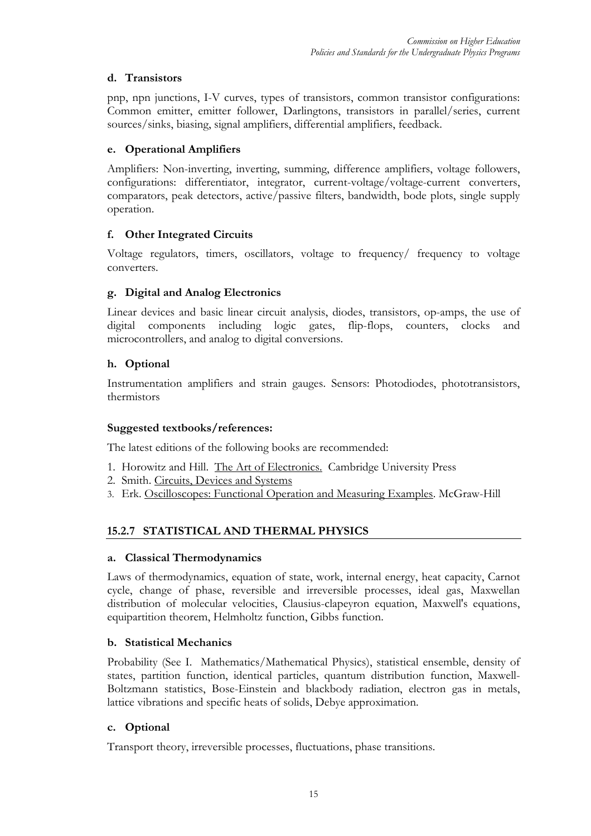# **d. Transistors**

pnp, npn junctions, I-V curves, types of transistors, common transistor configurations: Common emitter, emitter follower, Darlingtons, transistors in parallel/series, current sources/sinks, biasing, signal amplifiers, differential amplifiers, feedback.

# **e. Operational Amplifiers**

Amplifiers: Non-inverting, inverting, summing, difference amplifiers, voltage followers, configurations: differentiator, integrator, current-voltage/voltage-current converters, comparators, peak detectors, active/passive filters, bandwidth, bode plots, single supply operation.

# **f. Other Integrated Circuits**

Voltage regulators, timers, oscillators, voltage to frequency/ frequency to voltage converters.

# **g. Digital and Analog Electronics**

Linear devices and basic linear circuit analysis, diodes, transistors, op-amps, the use of digital components including logic gates, flip-flops, counters, clocks and microcontrollers, and analog to digital conversions.

# **h. Optional**

Instrumentation amplifiers and strain gauges. Sensors: Photodiodes, phototransistors, thermistors

# **Suggested textbooks/references:**

The latest editions of the following books are recommended:

- 1. Horowitz and Hill. The Art of Electronics. Cambridge University Press
- 2. Smith. Circuits, Devices and Systems
- 3. Erk. Oscilloscopes: Functional Operation and Measuring Examples. McGraw-Hill

# **15.2.7 STATISTICAL AND THERMAL PHYSICS**

# **a. Classical Thermodynamics**

Laws of thermodynamics, equation of state, work, internal energy, heat capacity, Carnot cycle, change of phase, reversible and irreversible processes, ideal gas, Maxwellan distribution of molecular velocities, Clausius-clapeyron equation, Maxwell's equations, equipartition theorem, Helmholtz function, Gibbs function.

# **b. Statistical Mechanics**

Probability (See I. Mathematics/Mathematical Physics), statistical ensemble, density of states, partition function, identical particles, quantum distribution function, Maxwell-Boltzmann statistics, Bose-Einstein and blackbody radiation, electron gas in metals, lattice vibrations and specific heats of solids, Debye approximation.

# **c. Optional**

Transport theory, irreversible processes, fluctuations, phase transitions.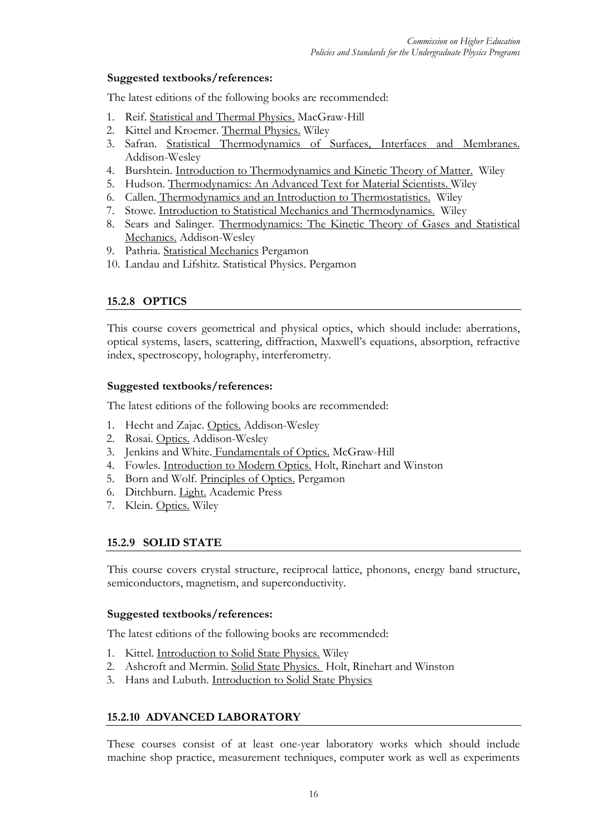# **Suggested textbooks/references:**

The latest editions of the following books are recommended:

- 1. Reif. Statistical and Thermal Physics. MacGraw-Hill
- 2. Kittel and Kroemer. Thermal Physics. Wiley
- 3. Safran. Statistical Thermodynamics of Surfaces, Interfaces and Membranes. Addison-Wesley
- 4. Burshtein. Introduction to Thermodynamics and Kinetic Theory of Matter. Wiley
- 5. Hudson. Thermodynamics: An Advanced Text for Material Scientists. Wiley
- 6. Callen. Thermodynamics and an Introduction to Thermostatistics. Wiley
- 7. Stowe. Introduction to Statistical Mechanics and Thermodynamics. Wiley
- 8. Sears and Salinger. Thermodynamics: The Kinetic Theory of Gases and Statistical Mechanics. Addison-Wesley
- 9. Pathria. Statistical Mechanics Pergamon
- 10. Landau and Lifshitz. Statistical Physics. Pergamon

# **15.2.8 OPTICS**

This course covers geometrical and physical optics, which should include: aberrations, optical systems, lasers, scattering, diffraction, Maxwell's equations, absorption, refractive index, spectroscopy, holography, interferometry.

#### **Suggested textbooks/references:**

The latest editions of the following books are recommended:

- 1. Hecht and Zajac. Optics. Addison-Wesley
- 2. Rosai. Optics. Addison-Wesley
- 3. Jenkins and White. Fundamentals of Optics. McGraw-Hill
- 4. Fowles. Introduction to Modern Optics. Holt, Rinehart and Winston
- 5. Born and Wolf. Principles of Optics. Pergamon
- 6. Ditchburn. Light. Academic Press
- 7. Klein. Optics. Wiley

# **15.2.9 SOLID STATE**

This course covers crystal structure, reciprocal lattice, phonons, energy band structure, semiconductors, magnetism, and superconductivity.

#### **Suggested textbooks/references:**

The latest editions of the following books are recommended:

- 1. Kittel. Introduction to Solid State Physics. Wiley
- 2. Ashcroft and Mermin. Solid State Physics. Holt, Rinehart and Winston
- 3. Hans and Lubuth. Introduction to Solid State Physics

#### **15.2.10 ADVANCED LABORATORY**

These courses consist of at least one-year laboratory works which should include machine shop practice, measurement techniques, computer work as well as experiments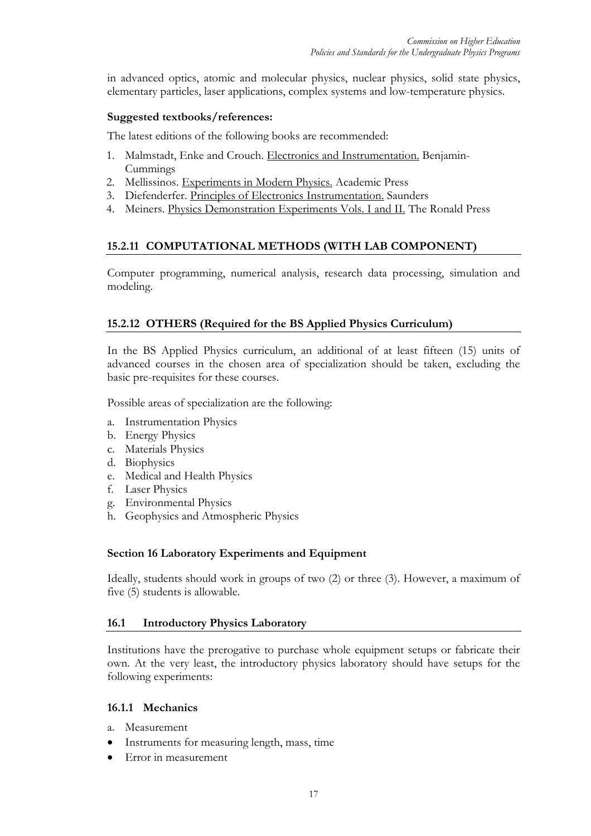in advanced optics, atomic and molecular physics, nuclear physics, solid state physics, elementary particles, laser applications, complex systems and low-temperature physics.

#### **Suggested textbooks/references:**

The latest editions of the following books are recommended:

- 1. Malmstadt, Enke and Crouch. Electronics and Instrumentation. Benjamin-Cummings
- 2. Mellissinos. Experiments in Modern Physics. Academic Press
- 3. Diefenderfer. Principles of Electronics Instrumentation. Saunders
- 4. Meiners. Physics Demonstration Experiments Vols. I and II. The Ronald Press

# **15.2.11 COMPUTATIONAL METHODS (WITH LAB COMPONENT)**

Computer programming, numerical analysis, research data processing, simulation and modeling.

# **15.2.12 OTHERS (Required for the BS Applied Physics Curriculum)**

In the BS Applied Physics curriculum, an additional of at least fifteen (15) units of advanced courses in the chosen area of specialization should be taken, excluding the basic pre-requisites for these courses.

Possible areas of specialization are the following:

- a. Instrumentation Physics
- b. Energy Physics
- c. Materials Physics
- d. Biophysics
- e. Medical and Health Physics
- f. Laser Physics
- g. Environmental Physics
- h. Geophysics and Atmospheric Physics

#### **Section 16 Laboratory Experiments and Equipment**

Ideally, students should work in groups of two (2) or three (3). However, a maximum of five (5) students is allowable.

#### **16.1 Introductory Physics Laboratory**

Institutions have the prerogative to purchase whole equipment setups or fabricate their own. At the very least, the introductory physics laboratory should have setups for the following experiments:

#### **16.1.1 Mechanics**

- a. Measurement
- Instruments for measuring length, mass, time
- Error in measurement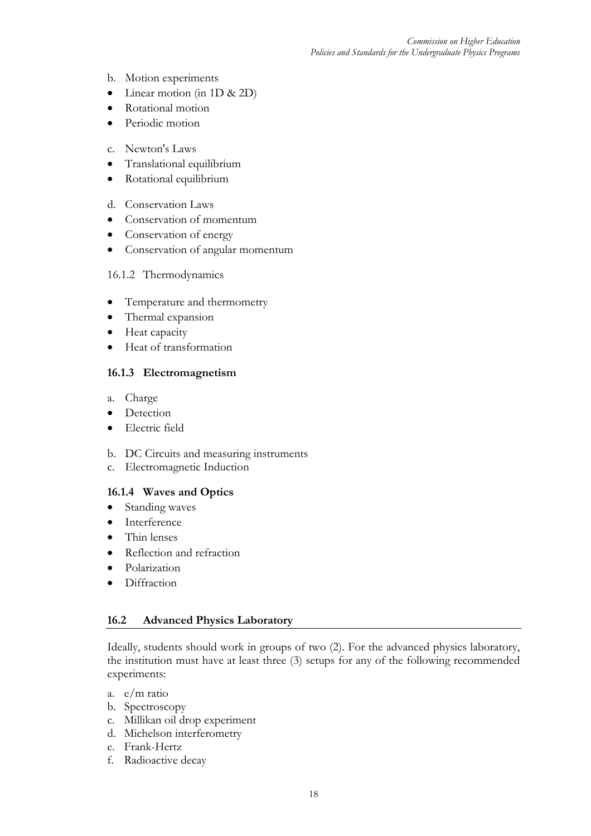- b. Motion experiments
- Linear motion (in 1D & 2D)
- Rotational motion
- Periodic motion
- c. Newton's Laws
- Translational equilibrium
- Rotational equilibrium
- d. Conservation Laws
- Conservation of momentum
- Conservation of energy
- Conservation of angular momentum

#### 16.1.2 Thermodynamics

- Temperature and thermometry
- Thermal expansion
- Heat capacity
- Heat of transformation

# **16.1.3 Electromagnetism**

- a. Charge
- Detection
- Electric field
- b. DC Circuits and measuring instruments
- c. Electromagnetic Induction

#### **16.1.4 Waves and Optics**

- Standing waves
- Interference
- Thin lenses
- Reflection and refraction
- Polarization
- Diffraction

#### **16.2 Advanced Physics Laboratory**

Ideally, students should work in groups of two (2). For the advanced physics laboratory, the institution must have at least three (3) setups for any of the following recommended experiments:

- a. e/m ratio
- b. Spectroscopy
- c. Millikan oil drop experiment
- d. Michelson interferometry
- e. Frank-Hertz
- f. Radioactive decay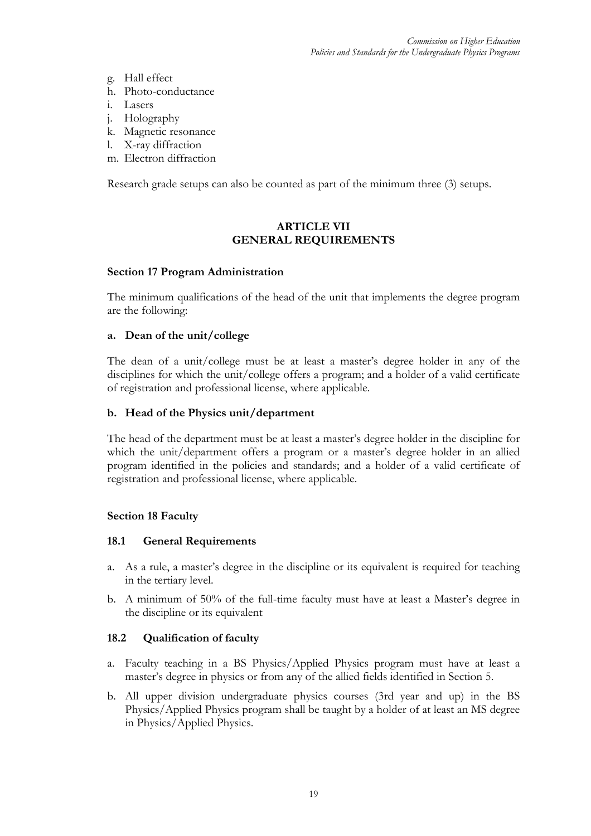- g. Hall effect
- h. Photo-conductance
- i. Lasers
- j. Holography
- k. Magnetic resonance
- l. X-ray diffraction
- m. Electron diffraction

Research grade setups can also be counted as part of the minimum three (3) setups.

## **ARTICLE VII GENERAL REQUIREMENTS**

#### **Section 17 Program Administration**

The minimum qualifications of the head of the unit that implements the degree program are the following:

#### **a. Dean of the unit/college**

The dean of a unit/college must be at least a master's degree holder in any of the disciplines for which the unit/college offers a program; and a holder of a valid certificate of registration and professional license, where applicable.

#### **b. Head of the Physics unit/department**

The head of the department must be at least a master's degree holder in the discipline for which the unit/department offers a program or a master's degree holder in an allied program identified in the policies and standards; and a holder of a valid certificate of registration and professional license, where applicable.

#### **Section 18 Faculty**

#### **18.1 General Requirements**

- a. As a rule, a master's degree in the discipline or its equivalent is required for teaching in the tertiary level.
- b. A minimum of 50% of the full-time faculty must have at least a Master's degree in the discipline or its equivalent

#### **18.2 Qualification of faculty**

- a. Faculty teaching in a BS Physics/Applied Physics program must have at least a master's degree in physics or from any of the allied fields identified in Section 5.
- b. All upper division undergraduate physics courses (3rd year and up) in the BS Physics/Applied Physics program shall be taught by a holder of at least an MS degree in Physics/Applied Physics.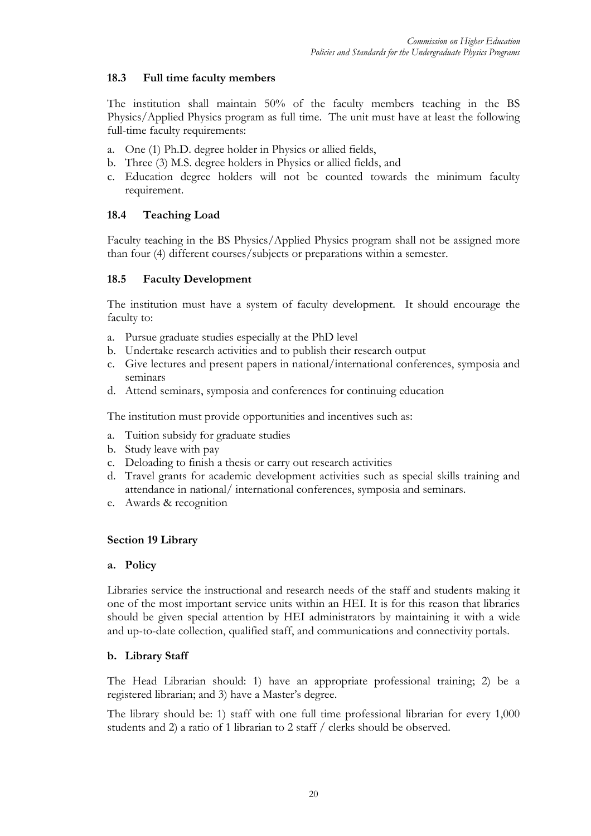# **18.3 Full time faculty members**

The institution shall maintain 50% of the faculty members teaching in the BS Physics/Applied Physics program as full time. The unit must have at least the following full-time faculty requirements:

- a. One (1) Ph.D. degree holder in Physics or allied fields,
- b. Three (3) M.S. degree holders in Physics or allied fields, and
- c. Education degree holders will not be counted towards the minimum faculty requirement.

# **18.4 Teaching Load**

Faculty teaching in the BS Physics/Applied Physics program shall not be assigned more than four (4) different courses/subjects or preparations within a semester.

# **18.5 Faculty Development**

The institution must have a system of faculty development. It should encourage the faculty to:

- a. Pursue graduate studies especially at the PhD level
- b. Undertake research activities and to publish their research output
- c. Give lectures and present papers in national/international conferences, symposia and seminars
- d. Attend seminars, symposia and conferences for continuing education

The institution must provide opportunities and incentives such as:

- a. Tuition subsidy for graduate studies
- b. Study leave with pay
- c. Deloading to finish a thesis or carry out research activities
- d. Travel grants for academic development activities such as special skills training and attendance in national/ international conferences, symposia and seminars.
- e. Awards & recognition

# **Section 19 Library**

#### **a. Policy**

Libraries service the instructional and research needs of the staff and students making it one of the most important service units within an HEI. It is for this reason that libraries should be given special attention by HEI administrators by maintaining it with a wide and up-to-date collection, qualified staff, and communications and connectivity portals.

# **b. Library Staff**

The Head Librarian should: 1) have an appropriate professional training; 2) be a registered librarian; and 3) have a Master's degree.

The library should be: 1) staff with one full time professional librarian for every 1,000 students and 2) a ratio of 1 librarian to 2 staff / clerks should be observed.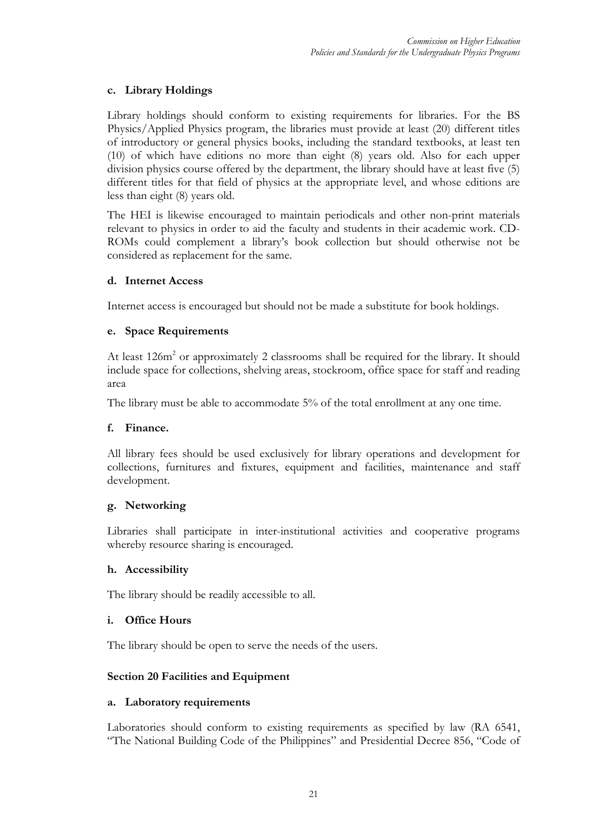# **c. Library Holdings**

Library holdings should conform to existing requirements for libraries. For the BS Physics/Applied Physics program, the libraries must provide at least (20) different titles of introductory or general physics books, including the standard textbooks, at least ten (10) of which have editions no more than eight (8) years old. Also for each upper division physics course offered by the department, the library should have at least five (5) different titles for that field of physics at the appropriate level, and whose editions are less than eight (8) years old.

The HEI is likewise encouraged to maintain periodicals and other non-print materials relevant to physics in order to aid the faculty and students in their academic work. CD-ROMs could complement a library's book collection but should otherwise not be considered as replacement for the same.

# **d. Internet Access**

Internet access is encouraged but should not be made a substitute for book holdings.

# **e. Space Requirements**

At least 126m<sup>2</sup> or approximately 2 classrooms shall be required for the library. It should include space for collections, shelving areas, stockroom, office space for staff and reading area

The library must be able to accommodate 5% of the total enrollment at any one time.

#### **f. Finance.**

All library fees should be used exclusively for library operations and development for collections, furnitures and fixtures, equipment and facilities, maintenance and staff development.

#### **g. Networking**

Libraries shall participate in inter-institutional activities and cooperative programs whereby resource sharing is encouraged.

#### **h. Accessibility**

The library should be readily accessible to all.

#### **i. Office Hours**

The library should be open to serve the needs of the users.

# **Section 20 Facilities and Equipment**

#### **a. Laboratory requirements**

Laboratories should conform to existing requirements as specified by law (RA 6541, "The National Building Code of the Philippines" and Presidential Decree 856, "Code of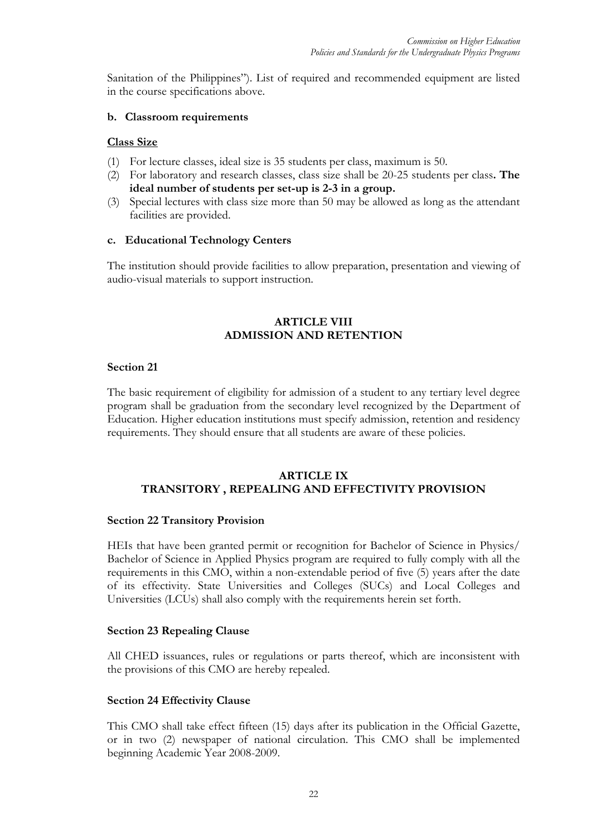Sanitation of the Philippines"). List of required and recommended equipment are listed in the course specifications above.

#### **b. Classroom requirements**

#### **Class Size**

- (1) For lecture classes, ideal size is 35 students per class, maximum is 50.
- (2) For laboratory and research classes, class size shall be 20-25 students per class**. The ideal number of students per set-up is 2-3 in a group.**
- (3) Special lectures with class size more than 50 may be allowed as long as the attendant facilities are provided.

#### **c. Educational Technology Centers**

The institution should provide facilities to allow preparation, presentation and viewing of audio-visual materials to support instruction.

## **ARTICLE VIII ADMISSION AND RETENTION**

#### **Section 21**

The basic requirement of eligibility for admission of a student to any tertiary level degree program shall be graduation from the secondary level recognized by the Department of Education. Higher education institutions must specify admission, retention and residency requirements. They should ensure that all students are aware of these policies.

#### **ARTICLE IX TRANSITORY , REPEALING AND EFFECTIVITY PROVISION**

#### **Section 22 Transitory Provision**

HEIs that have been granted permit or recognition for Bachelor of Science in Physics/ Bachelor of Science in Applied Physics program are required to fully comply with all the requirements in this CMO, within a non-extendable period of five (5) years after the date of its effectivity. State Universities and Colleges (SUCs) and Local Colleges and Universities (LCUs) shall also comply with the requirements herein set forth.

#### **Section 23 Repealing Clause**

All CHED issuances, rules or regulations or parts thereof, which are inconsistent with the provisions of this CMO are hereby repealed.

#### **Section 24 Effectivity Clause**

This CMO shall take effect fifteen (15) days after its publication in the Official Gazette, or in two (2) newspaper of national circulation. This CMO shall be implemented beginning Academic Year 2008-2009.